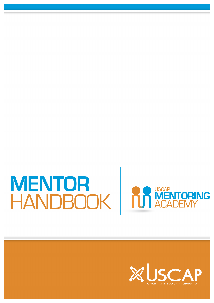# **MENTOR** HANDBOOK RI



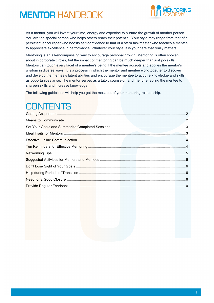

As a mentor, you will invest your time, energy and expertise to nurture the growth of another person. You are the special person who helps others reach their potential. Your style may range from that of a persistent encourager who boosts self-confidence to that of a stern taskmaster who teaches a mentee to appreciate excellence in performance. Whatever your style, it is your care that really matters.

Mentoring is an all-encompassing way to encourage personal growth. Mentoring is often spoken about in corporate circles, but the impact of mentoring can be much deeper than just job skills. Mentors can touch every facet of a mentee's being if the mentee accepts and applies the mentor's wisdom in diverse ways. It is a process in which the mentor and mentee work together to discover and develop the mentee's latent abilities and encourage the mentee to acquire knowledge and skills as opportunities arise. The mentor serves as a tutor, counselor, and friend, enabling the mentee to sharpen skills and increase knowledge.

The following guidelines will help you get the most out of your mentoring relationship.

# **CONTENTS**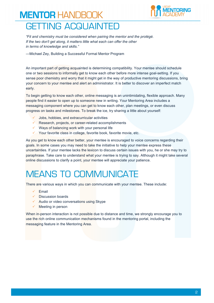# **MENTOR HANDBOOK** GETTING ACQUAINTED



*"Fit and chemistry must be considered when pairing the mentor and the protégé. If the two don't get along, it matters little what each can offer the other in terms of knowledge and skills."*

—Michael Zey, Building a Successful Formal Mentor Program

An important part of getting acquainted is determining compatibility. Your mentee should schedule one or two sessions to informally get to know each other before more intense goal-setting. If you sense poor chemistry and worry that it might get in the way of productive mentoring discussions, bring your concern to your mentee and alert an administrator. It is better to discover an imperfect match early.

To begin getting to know each other, online messaging is an unintimidating, flexible approach. Many people find it easier to open up to someone new in writing. Your Mentoring Area includes a messaging component where you can get to know each other, plan meetings, or even discuss progress on tasks and milestones. To break the ice, try sharing a little about yourself:

- $\checkmark$  Jobs, hobbies, and extracurricular activities
- $\checkmark$  Research, projects, or career-related accomplishments
- $\checkmark$  Ways of balancing work with your personal life
- $\checkmark$  Your favorite class in college, favorite book, favorite movie, etc.

As you get to know each other better, your mentee is encouraged to voice concerns regarding their goals. In some cases you may need to take the initiative to help your mentee express these uncertainties. If your mentee lacks the lexicon to discuss certain issues with you, he or she may try to paraphrase. Take care to understand what your mentee is trying to say. Although it might take several online discussions to clarify a point, your mentee will appreciate your patience.

# MEANS TO COMMUNICATE

There are various ways in which you can communicate with your mentee. These include:

- ü Email
- $\checkmark$  Discussion boards
- $\checkmark$  Audio or video conversations using Skype
- $\checkmark$  Meeting in person

When in-person interaction is not possible due to distance and time, we strongly encourage you to use the rich online communication mechanisms found in the mentoring portal, including the messaging feature in the Mentoring Area.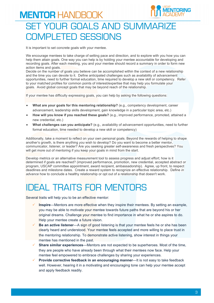

#### SET YOUR GOALS AND SUMMARIZE COMPLETED SESSIONS

It is important to set concrete goals with your mentee.

We encourage mentees to take charge of setting pace and direction, and to explore with you how you can help them attain goals. One way you can help is by holding your mentee accountable for developing and recording goals. After each meeting, you and your mentee should record a summary in order to form new action items and goals.

Decide on the number of goals you believe can be accomplished within the context of a new relationship and the time you can devote to it. Define anticipated challenges such as availability of advancement opportunities, need to further formal education, time required to develop a new skill or competency. Refer to your matched profiles for common points of interest/expertise that may help you formulate your goals. Avoid global concept goals that may be beyond reach of the relationship.

If your mentee has difficulty expressing goals, you can help by asking the following questions:

- **What are your goals for this mentoring relationship?** (e.g., competency development, career advancement, leadership skills development, gain knowledge in a particular topic area, etc.)
- **How will you know if you reached these goals?** (e.g., improved performance, promoted, attained a new credential, etc.)
- **What challenges can you anticipate?** (e.g., availability of advancement opportunities, need to further formal education, time needed to develop a new skill or competency)

Additionally, take a moment to reflect on your own personal goals. Beyond the rewards of helping to shape another's growth, is there anything *you* wish to develop? Do you want to become a better mentor, communicator, listener, or leader? Are you seeking greater self-awareness and fresh perspectives? You will get more out of mentoring if you keep your goals in mind from the start.

Develop metrics or an alternative measurement tool to assess progress and adjust effort; how is it determined if goals are reached? (improved performance, promotion, new credential, accepted abstract or program, USCAP committee appointment, award recipient, ambassadorship). Agree, up front, to respect deadlines and milestone dates. Create a reward system to recognize an effective relationship. Define *in advance* how to conclude a healthy relationship or opt out of a relationship that doesn't work.

# IDEAL TRAITS FOR MENTORS

Several traits will help you to be an effective mentor:

- **Inspire—Mentors are more effective when they inspire their mentees. By setting an example,** you may be able to motivate your mentee towards future paths that are beyond his or her original dreams. Challenge your mentee to find importance in what he or she aspires to do. Help your mentee create a future vision.
- ü **Be an active listener**—A sign of good listening is that your mentee feels he or she has been clearly heard and understood. Your mentee feels accepted and more willing to place trust in the mentoring relationship. To demonstrate active listening, show interest in things your mentee has mentioned in the past.
- ü **Share similar experiences**—Mentors are not expected to be superheroes. Most of the time, they are people who have already been through what their mentees now face. Help your mentee feel empowered to embrace challenges by sharing your experiences.
- **Provide corrective feedback in an encouraging manner—It is not easy to take feedback** well. However, hearing it in a motivating and encouraging tone can help your mentee accept and apply feedback readily.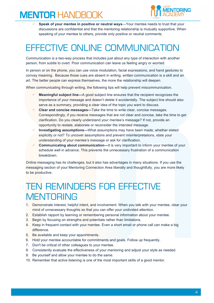

ü **Speak of your mentee in positive or neutral ways**—Your mentee needs to trust that your discussions are confidential and that the mentoring relationship is mutually supportive. When speaking of your mentee to others, provide only positive or neutral comments.

#### EFFECTIVE ONLINE COMMUNICATION

Communication is a two-way process that includes just about any type of interaction with another person, from subtle to overt. Poor communication can leave us feeling angry or worried.

In person or on the phone, you can use voice modulation, facial expressions, and hand gestures to convey meaning. Because those cues are absent in writing, written communication is a skill and an art. The better people can express themselves, the more the relationship will deepen.

When communicating through writing, the following tips will help prevent miscommunication.

- **Meaningful subject line—A** good subject line ensures that the recipient recognizes the importance of your message and doesn't delete it accidentally. The subject line should also serve as a summary, providing a clear idea of the topic you want to discuss.
- **Clear and concise messages—Take the time to write clear, concise messages.** Correspondingly, if you receive messages that are not clear and concise, take the time to get clarification. Do you clearly understand your mentee's message? If not, provide an opportunity to restate, elaborate or reconsider the intended message.
- ü **Investigating assumptions—**What assumptions may have been made, whether stated explicitly or not? To uncover assumptions and prevent misinterpretations, state your understanding of your mentee's message or ask for clarification.
- **Communicating about communication—It is very important to inform your mentee of your** schedule well in advance. This prevents the unnecessary frustration of a communication breakdown.

Online messaging has its challenges, but it also has advantages in many situations. If you use the messaging section of your Mentoring Connection Area liberally and thoughtfully, you are more likely to be productive.

#### TEN REMINDERS FOR EFFECTIVE **MENTORING**

- 1. Demonstrate interest, helpful intent, and involvement. When you talk with your mentee, clear your mind of unnecessary thoughts so that you can offer your undivided attention.
- 2. Establish rapport by learning or remembering personal information about your mentee.
- 3. Begin by focusing on strengths and potentials rather than limitations.
- 4. Keep in frequent contact with your mentee. Even a short email or phone call can make a big difference.
- 5. Be available and keep your appointments.
- 6. Hold your mentee accountable for commitments and goals. Follow up frequently.
- 7. Don't be critical of other colleagues to your mentee.
- 8. Consistently evaluate the effectiveness of your mentoring and adjust your style as needed.
- 9. Be yourself and allow your mentee to do the same.
- 10. Remember that active listening is one of the most important skills of a good mentor.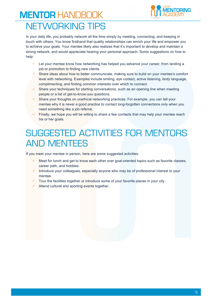# **MENTOR HANDBOOK** NETWORKING TIPS



In your daily life, you probably network all the time simply by meeting, connecting, and keeping in touch with others. You know firsthand that quality relationships can enrich your life and empower you to achieve your goals. Your mentee likely also realizes that it's important to develop and maintain a strong network, and would appreciate hearing your personal approach. Some suggestions on how to help:

- Let your mentee know how networking has helped you advance your career, from landing a job or promotion to finding new clients.
- $\checkmark$  Share ideas about how to better communicate, making sure to build on your mentee's comfort level with networking. Examples include smiling, eye contact, active listening, body language, complimenting, and finding common interests over which to connect.
- Share your techniques for starting conversations, such as an opening line when meeting people or a list of get-to-know-you questions.
- $\checkmark$  Share your thoughts on unethical networking practices. For example, you can tell your mentee why it is never a good practice to contact long-forgotten connections only when you need something like a job referral.
- Finally, we hope you will be willing to share a few contacts that may help your mentee reach his or her goals.

#### SUGGESTED ACTIVITIES FOR MENTORS AND MENTEES

If you meet your mentee in person, here are some suggested activities:

- Meet for lunch and get to know each other over goal-oriented topics such as favorite classes, career path, and hobbies.
- $\checkmark$  Introduce your colleagues, especially anyone who may be of professional interest to your mentee.
- $\checkmark$  Tour the facilities together or introduce some of your favorite places in your city.
- $\checkmark$  Attend cultural and sporting events together.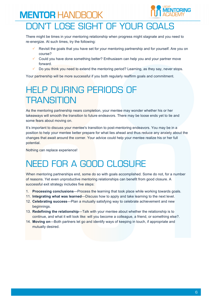

## DON'T LOSE SIGHT OF YOUR GOALS

There might be times in your mentoring relationship when progress might stagnate and you need to re-energize. At such times, try the following:

- K Revisit the goals that you have set for your mentoring partnership and for yourself. Are you on course?
- $\checkmark$  Could you have done something better? Enthusiasm can help you and your partner move forward.
- $\checkmark$  Do you think you need to extend the mentoring period? Learning, as they say, never stops.

Your partnership will be more successful if you both regularly reaffirm goals and commitment.

# HELP DURING PERIODS OF **TRANSITION**

As the mentoring partnership nears completion, your mentee may wonder whether his or her takeaways will smooth the transition to future endeavors. There may be loose ends yet to tie and some fears about moving on.

It's important to discuss your mentee's transition to post-mentoring endeavors. You may be in a position to help your mentee better prepare for what lies ahead and thus reduce any anxiety about the changes that await around the corner. Your advice could help your mentee realize his or her full potential.

Nothing can replace experience!

# NEED FOR A GOOD CLOSURE

When mentoring partnerships end, some do so with goals accomplished. Some do not, for a number of reasons. Yet even unproductive mentoring relationships can benefit from good closure. A successful exit strategy includes five steps:

- 1. **Processing conclusions**—Process the learning that took place while working towards goals.
- 11. **Integrating what was learned**—Discuss how to apply and take learning to the next level.
- 12. **Celebrating success**—Plan a mutually satisfying way to celebrate achievement and new beginnings.
- 13. **Redefining the relationship**—Talk with your mentee about whether the relationship is to continue, and what it will look like: will you become a colleague, a friend, or something else?.
- 14. **Moving on**—Both partners let go and identify ways of keeping in touch, if appropriate and mutually desired.